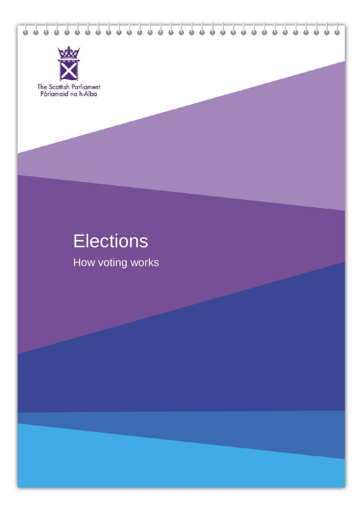



The Scottish Parliament<br>Pàrlamaid na h-Alba

# **Elections**

How voting works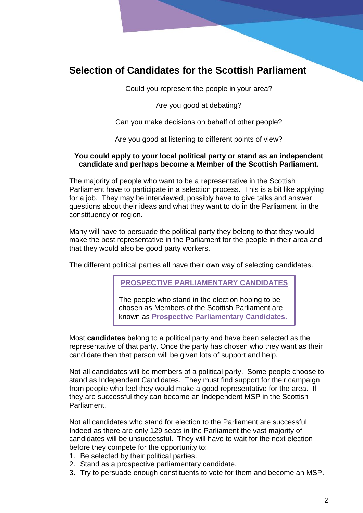## **Selection of Candidates for the Scottish Parliament**

Could you represent the people in your area?

Are you good at debating?

Can you make decisions on behalf of other people?

Are you good at listening to different points of view?

#### **You could apply to your local political party or stand as an independent candidate and perhaps become a Member of the Scottish Parliament.**

The majority of people who want to be a representative in the Scottish Parliament have to participate in a selection process. This is a bit like applying for a job. They may be interviewed, possibly have to give talks and answer questions about their ideas and what they want to do in the Parliament, in the constituency or region.

Many will have to persuade the political party they belong to that they would make the best representative in the Parliament for the people in their area and that they would also be good party workers.

The different political parties all have their own way of selecting candidates.

**PROSPECTIVE PARLIAMENTARY CANDIDATES**

The people who stand in the election hoping to be chosen as Members of the Scottish Parliament are known as **Prospective Parliamentary Candidates.**

Most **candidates** belong to a political party and have been selected as the representative of that party. Once the party has chosen who they want as their candidate then that person will be given lots of support and help.

Not all candidates will be members of a political party. Some people choose to stand as Independent Candidates. They must find support for their campaign from people who feel they would make a good representative for the area. If they are successful they can become an Independent MSP in the Scottish Parliament.

Not all candidates who stand for election to the Parliament are successful. Indeed as there are only 129 seats in the Parliament the vast majority of candidates will be unsuccessful. They will have to wait for the next election before they compete for the opportunity to:

- 1. Be selected by their political parties.
- 2. Stand as a prospective parliamentary candidate.
- 3. Try to persuade enough constituents to vote for them and become an MSP.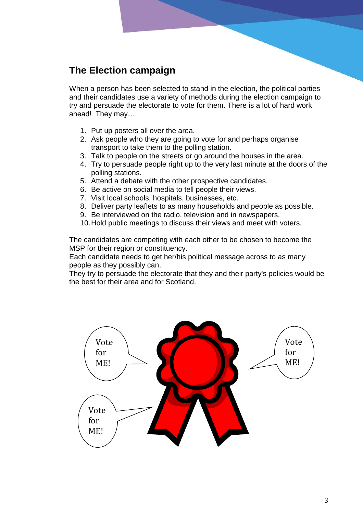## **The Election campaign**

When a person has been selected to stand in the election, the political parties and their candidates use a variety of methods during the election campaign to try and persuade the electorate to vote for them. There is a lot of hard work ahead! They may…

- 1. Put up posters all over the area.
- 2. Ask people who they are going to vote for and perhaps organise transport to take them to the polling station.
- 3. Talk to people on the streets or go around the houses in the area.
- 4. Try to persuade people right up to the very last minute at the doors of the polling stations.
- 5. Attend a debate with the other prospective candidates.
- 6. Be active on social media to tell people their views.
- 7. Visit local schools, hospitals, businesses, etc.
- 8. Deliver party leaflets to as many households and people as possible.
- 9. Be interviewed on the radio, television and in newspapers.
- 10.Hold public meetings to discuss their views and meet with voters.

The candidates are competing with each other to be chosen to become the MSP for their region or constituency.

Each candidate needs to get her/his political message across to as many people as they possibly can.

They try to persuade the electorate that they and their party's policies would be the best for their area and for Scotland.

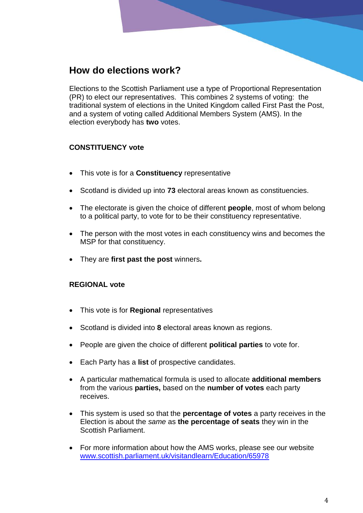## **How do elections work?**

Elections to the Scottish Parliament use a type of Proportional Representation (PR) to elect our representatives. This combines 2 systems of voting: the traditional system of elections in the United Kingdom called First Past the Post, and a system of voting called Additional Members System (AMS). In the election everybody has **two** votes.

#### **CONSTITUENCY vote**

- This vote is for a **Constituency** representative
- Scotland is divided up into **73** electoral areas known as constituencies.
- The electorate is given the choice of different **people**, most of whom belong to a political party, to vote for to be their constituency representative.
- The person with the most votes in each constituency wins and becomes the MSP for that constituency.
- They are **first past the post** winners**.**

#### **REGIONAL vote**

- This vote is for **Regional** representatives
- Scotland is divided into **8** electoral areas known as regions.
- People are given the choice of different **political parties** to vote for.
- Each Party has a **list** of prospective candidates.
- A particular mathematical formula is used to allocate **additional members**  from the various **parties,** based on the **number of votes** each party receives.
- This system is used so that the **percentage of votes** a party receives in the Election is about the *same* as **the percentage of seats** they win in the Scottish Parliament.
- For more information about how the AMS works, please see our website [www.scottish.parliament.uk/visitandlearn/Education/65978](http://www.scottish.parliament.uk/visitandlearn/Education/65978.aspx)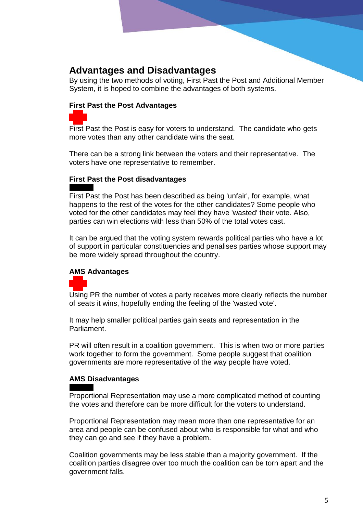## **Advantages and Disadvantages**

By using the two methods of voting, First Past the Post and Additional Member System, it is hoped to combine the advantages of both systems.

#### **First Past the Post Advantages**

First Past the Post is easy for voters to understand. The candidate who gets more votes than any other candidate wins the seat.

There can be a strong link between the voters and their representative. The voters have one representative to remember.

#### **First Past the Post disadvantages**

First Past the Post has been described as being 'unfair', for example, what happens to the rest of the votes for the other candidates? Some people who voted for the other candidates may feel they have 'wasted' their vote. Also, parties can win elections with less than 50% of the total votes cast.

It can be argued that the voting system rewards political parties who have a lot of support in particular constituencies and penalises parties whose support may be more widely spread throughout the country.

#### **AMS Advantages**

Using PR the number of votes a party receives more clearly reflects the number of seats it wins, hopefully ending the feeling of the 'wasted vote'.

It may help smaller political parties gain seats and representation in the Parliament.

PR will often result in a coalition government. This is when two or more parties work together to form the government. Some people suggest that coalition governments are more representative of the way people have voted.

#### **AMS Disadvantages**

Proportional Representation may use a more complicated method of counting the votes and therefore can be more difficult for the voters to understand.

Proportional Representation may mean more than one representative for an area and people can be confused about who is responsible for what and who they can go and see if they have a problem.

Coalition governments may be less stable than a majority government. If the coalition parties disagree over too much the coalition can be torn apart and the government falls.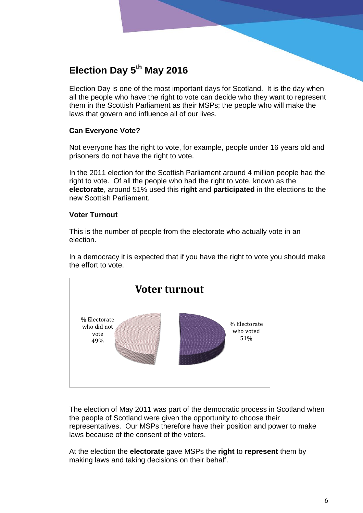## **Election Day 5 th May 2016**

Election Day is one of the most important days for Scotland. It is the day when all the people who have the right to vote can decide who they want to represent them in the Scottish Parliament as their MSPs; the people who will make the laws that govern and influence all of our lives.

#### **Can Everyone Vote?**

Not everyone has the right to vote, for example, people under 16 years old and prisoners do not have the right to vote.

In the 2011 election for the Scottish Parliament around 4 million people had the right to vote. Of all the people who had the right to vote, known as the **electorate**, around 51% used this **right** and **participated** in the elections to the new Scottish Parliament.

#### **Voter Turnout**

This is the number of people from the electorate who actually vote in an election.

In a democracy it is expected that if you have the right to vote you should make the effort to vote.



The election of May 2011 was part of the democratic process in Scotland when the people of Scotland were given the opportunity to choose their representatives. Our MSPs therefore have their position and power to make laws because of the consent of the voters.

At the election the **electorate** gave MSPs the **right** to **represent** them by making laws and taking decisions on their behalf.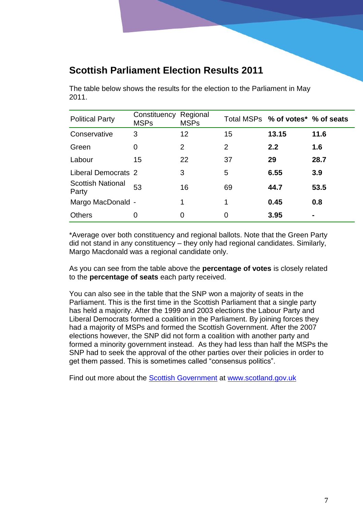## **Scottish Parliament Election Results 2011**

The table below shows the results for the election to the Parliament in May 2011.

| <b>Political Party</b>            | Constituency<br><b>MSPs</b> | Regional<br><b>MSPs</b> |                | Total MSPs % of votes <sup>*</sup> % of seats |      |
|-----------------------------------|-----------------------------|-------------------------|----------------|-----------------------------------------------|------|
| Conservative                      | 3                           | 12                      | 15             | 13.15                                         | 11.6 |
| Green                             | 0                           | 2                       | $\overline{2}$ | 2.2                                           | 1.6  |
| Labour                            | 15                          | 22                      | 37             | 29                                            | 28.7 |
| <b>Liberal Democrats 2</b>        |                             | 3                       | 5              | 6.55                                          | 3.9  |
| <b>Scottish National</b><br>Party | 53                          | 16                      | 69             | 44.7                                          | 53.5 |
| Margo MacDonald -                 |                             | 1                       | 1              | 0.45                                          | 0.8  |
| <b>Others</b>                     | 0                           | 0                       | 0              | 3.95                                          |      |

\*Average over both constituency and regional ballots. Note that the Green Party did not stand in any constituency – they only had regional candidates. Similarly, Margo Macdonald was a regional candidate only.

As you can see from the table above the **percentage of votes** is closely related to the **percentage of seats** each party received.

You can also see in the table that the SNP won a majority of seats in the Parliament. This is the first time in the Scottish Parliament that a single party has held a majority. After the 1999 and 2003 elections the Labour Party and Liberal Democrats formed a coalition in the Parliament. By joining forces they had a majority of MSPs and formed the Scottish Government. After the 2007 elections however, the SNP did not form a coalition with another party and formed a minority government instead. As they had less than half the MSPs the SNP had to seek the approval of the other parties over their policies in order to get them passed. This is sometimes called "consensus politics".

Find out more about the **Scottish Government** at www.scotland.gov.uk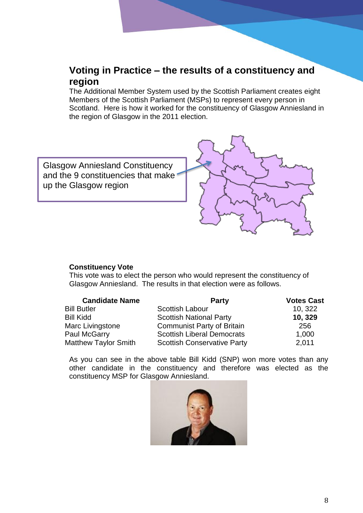## **Voting in Practice – the results of a constituency and region**

The Additional Member System used by the Scottish Parliament creates eight Members of the Scottish Parliament (MSPs) to represent every person in Scotland. Here is how it worked for the constituency of Glasgow Anniesland in the region of Glasgow in the 2011 election.



#### **Constituency Vote**

This vote was to elect the person who would represent the constituency of Glasgow Anniesland. The results in that election were as follows.

| <b>Candidate Name</b>       | <b>Party</b>                       | <b>Votes Cast</b> |  |
|-----------------------------|------------------------------------|-------------------|--|
| <b>Bill Butler</b>          | <b>Scottish Labour</b>             | 10, 322           |  |
| <b>Bill Kidd</b>            | <b>Scottish National Party</b>     | 10, 329           |  |
| Marc Livingstone            | <b>Communist Party of Britain</b>  | 256               |  |
| Paul McGarry                | <b>Scottish Liberal Democrats</b>  | 1,000             |  |
| <b>Matthew Taylor Smith</b> | <b>Scottish Conservative Party</b> | 2,011             |  |

As you can see in the above table Bill Kidd (SNP) won more votes than any other candidate in the constituency and therefore was elected as the constituency MSP for Glasgow Anniesland.

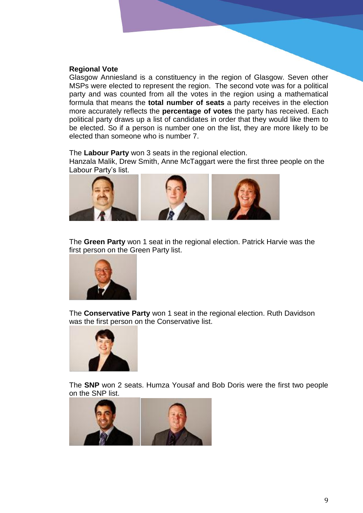#### **Regional Vote**

Glasgow Anniesland is a constituency in the region of Glasgow. Seven other MSPs were elected to represent the region. The second vote was for a political party and was counted from all the votes in the region using a mathematical formula that means the **total number of seats** a party receives in the election more accurately reflects the **percentage of votes** the party has received. Each political party draws up a list of candidates in order that they would like them to be elected. So if a person is number one on the list, they are more likely to be elected than someone who is number 7.

The **Labour Party** won 3 seats in the regional election.

Hanzala Malik, Drew Smith, Anne McTaggart were the first three people on the Labour Party's list.



The **Green Party** won 1 seat in the regional election. Patrick Harvie was the first person on the Green Party list.



The **Conservative Party** won 1 seat in the regional election. Ruth Davidson was the first person on the Conservative list.



The **SNP** won 2 seats. Humza Yousaf and Bob Doris were the first two people on the SNP list.

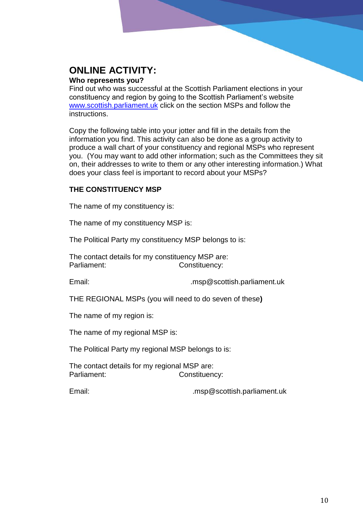## **ONLINE ACTIVITY:**

#### **Who represents you?**

Find out who was successful at the Scottish Parliament elections in your constituency and region by going to the Scottish Parliament's website [www.scottish.parliament.uk](http://www.scottish.parliament.uk/) click on the section MSPs and follow the instructions.

Copy the following table into your jotter and fill in the details from the information you find. This activity can also be done as a group activity to produce a wall chart of your constituency and regional MSPs who represent you. (You may want to add other information; such as the Committees they sit on, their addresses to write to them or any other interesting information.) What does your class feel is important to record about your MSPs?

#### **THE CONSTITUENCY MSP**

The name of my constituency is:

The name of my constituency MSP is:

The Political Party my constituency MSP belongs to is:

The contact details for my constituency MSP are: Parliament: Constituency:

Email: .msp@scottish.parliament.uk

THE REGIONAL MSPs (you will need to do seven of these**)**

The name of my region is:

The name of my regional MSP is:

The Political Party my regional MSP belongs to is:

The contact details for my regional MSP are: Parliament: Constituency:

Email: .msp@scottish.parliament.uk